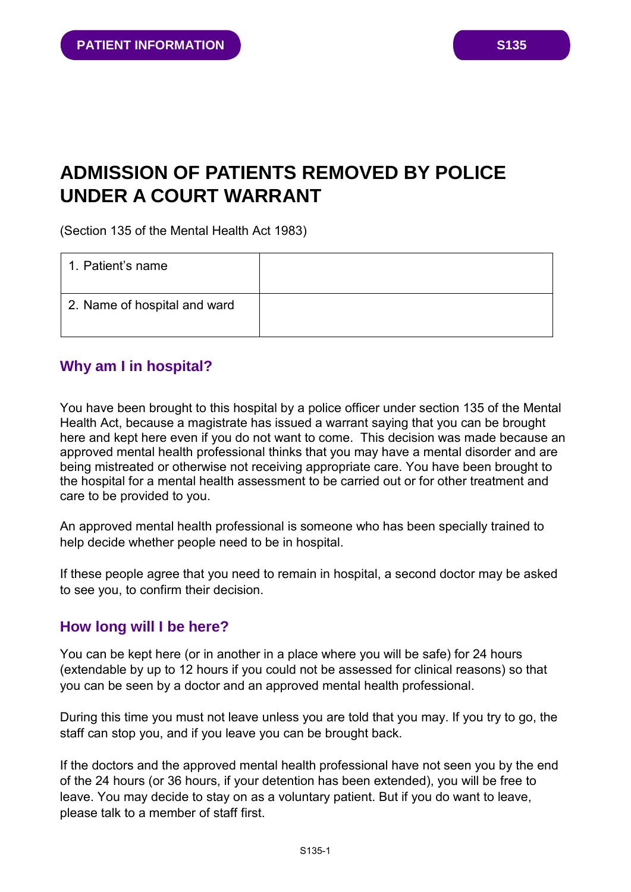# **ADMISSION OF PATIENTS REMOVED BY POLICE UNDER A COURT WARRANT**

(Section 135 of the Mental Health Act 1983)

| 1. Patient's name            |  |
|------------------------------|--|
| 2. Name of hospital and ward |  |

# **Why am I in hospital?**

You have been brought to this hospital by a police officer under section 135 of the Mental Health Act, because a magistrate has issued a warrant saying that you can be brought here and kept here even if you do not want to come. This decision was made because an approved mental health professional thinks that you may have a mental disorder and are being mistreated or otherwise not receiving appropriate care. You have been brought to the hospital for a mental health assessment to be carried out or for other treatment and care to be provided to you.

An approved mental health professional is someone who has been specially trained to help decide whether people need to be in hospital.

If these people agree that you need to remain in hospital, a second doctor may be asked to see you, to confirm their decision.

## **How long will I be here?**

You can be kept here (or in another in a place where you will be safe) for 24 hours (extendable by up to 12 hours if you could not be assessed for clinical reasons) so that you can be seen by a doctor and an approved mental health professional.

During this time you must not leave unless you are told that you may. If you try to go, the staff can stop you, and if you leave you can be brought back.

If the doctors and the approved mental health professional have not seen you by the end of the 24 hours (or 36 hours, if your detention has been extended), you will be free to leave. You may decide to stay on as a voluntary patient. But if you do want to leave, please talk to a member of staff first.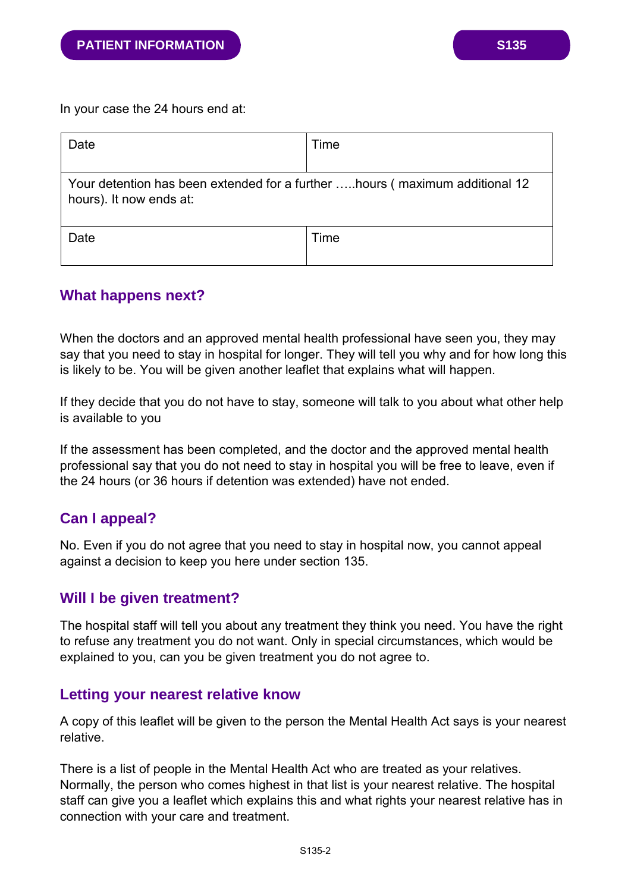In your case the 24 hours end at:

| Date                                                                                                    | Time |  |
|---------------------------------------------------------------------------------------------------------|------|--|
| Your detention has been extended for a further  hours (maximum additional 12<br>hours). It now ends at: |      |  |
| Date                                                                                                    | Time |  |

#### **What happens next?**

When the doctors and an approved mental health professional have seen you, they may say that you need to stay in hospital for longer. They will tell you why and for how long this is likely to be. You will be given another leaflet that explains what will happen.

If they decide that you do not have to stay, someone will talk to you about what other help is available to you

If the assessment has been completed, and the doctor and the approved mental health professional say that you do not need to stay in hospital you will be free to leave, even if the 24 hours (or 36 hours if detention was extended) have not ended.

# **Can I appeal?**

No. Even if you do not agree that you need to stay in hospital now, you cannot appeal against a decision to keep you here under section 135.

## **Will I be given treatment?**

The hospital staff will tell you about any treatment they think you need. You have the right to refuse any treatment you do not want. Only in special circumstances, which would be explained to you, can you be given treatment you do not agree to.

#### **Letting your nearest relative know**

A copy of this leaflet will be given to the person the Mental Health Act says is your nearest relative.

There is a list of people in the Mental Health Act who are treated as your relatives. Normally, the person who comes highest in that list is your nearest relative. The hospital staff can give you a leaflet which explains this and what rights your nearest relative has in connection with your care and treatment.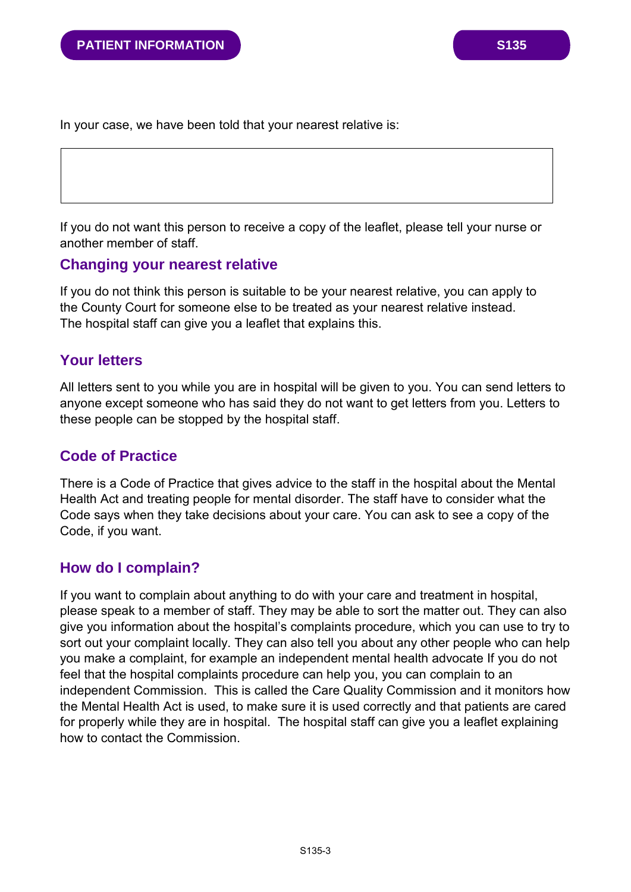In your case, we have been told that your nearest relative is:

If you do not want this person to receive a copy of the leaflet, please tell your nurse or another member of staff.

### **Changing your nearest relative**

If you do not think this person is suitable to be your nearest relative, you can apply to the County Court for someone else to be treated as your nearest relative instead. The hospital staff can give you a leaflet that explains this.

## **Your letters**

All letters sent to you while you are in hospital will be given to you. You can send letters to anyone except someone who has said they do not want to get letters from you. Letters to these people can be stopped by the hospital staff.

## **Code of Practice**

There is a Code of Practice that gives advice to the staff in the hospital about the Mental Health Act and treating people for mental disorder. The staff have to consider what the Code says when they take decisions about your care. You can ask to see a copy of the Code, if you want.

## **How do I complain?**

If you want to complain about anything to do with your care and treatment in hospital, please speak to a member of staff. They may be able to sort the matter out. They can also give you information about the hospital's complaints procedure, which you can use to try to sort out your complaint locally. They can also tell you about any other people who can help you make a complaint, for example an independent mental health advocate If you do not feel that the hospital complaints procedure can help you, you can complain to an independent Commission. This is called the Care Quality Commission and it monitors how the Mental Health Act is used, to make sure it is used correctly and that patients are cared for properly while they are in hospital. The hospital staff can give you a leaflet explaining how to contact the Commission.